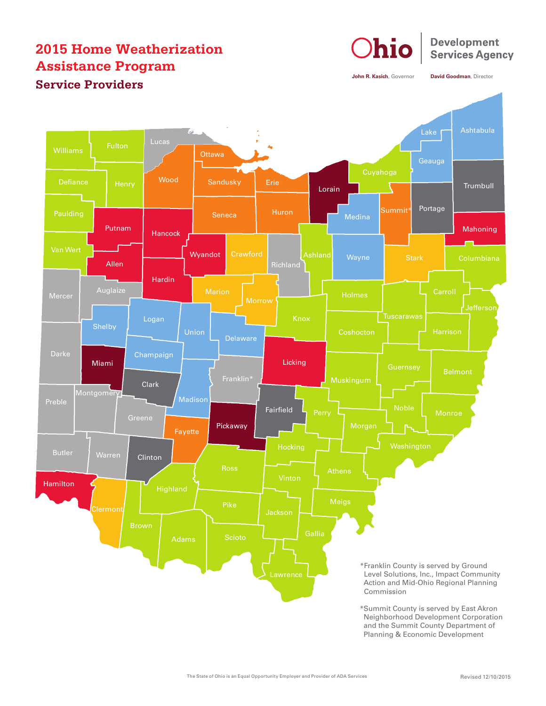## **2015 Home Weatherization Assistance Program Service Providers**



**John R. Kasich**, Governor **David Goodman**, Director